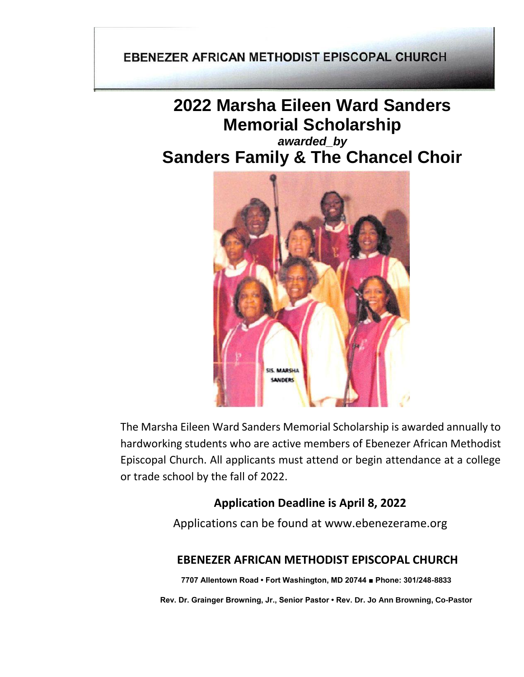### **EBENEZER AFRICAN METHODIST EPISCOPAL CHURCH**

# **2022 Marsha Eileen Ward Sanders Memorial Scholarship**

## *awarded\_by* **Sanders Family & The Chancel Choir**



The Marsha Eileen Ward Sanders Memorial Scholarship is awarded annually to hardworking students who are active members of Ebenezer African Methodist Episcopal Church. All applicants must attend or begin attendance at a college or trade school by the fall of 2022.

### **Application Deadline is April 8, 2022**

Applications can be found at [www.ebenezerame.org](http://www.ebenezerame.org/)

### **EBENEZER AFRICAN METHODIST EPISCOPAL CHURCH**

**7707 Allentown Road • Fort Washington, MD 20744 ■ Phone: 301/248-8833**

**Rev. Dr. Grainger Browning, Jr., Senior Pastor • Rev. Dr. Jo Ann Browning, Co-Pastor**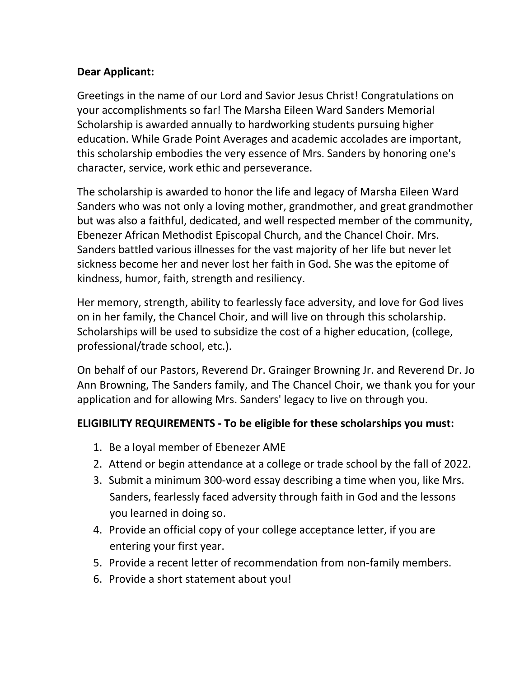### **Dear Applicant:**

Greetings in the name of our Lord and Savior Jesus Christ! Congratulations on your accomplishments so far! The Marsha Eileen Ward Sanders Memorial Scholarship is awarded annually to hardworking students pursuing higher education. While Grade Point Averages and academic accolades are important, this scholarship embodies the very essence of Mrs. Sanders by honoring one's character, service, work ethic and perseverance.

The scholarship is awarded to honor the life and legacy of Marsha Eileen Ward Sanders who was not only a loving mother, grandmother, and great grandmother but was also a faithful, dedicated, and well respected member of the community, Ebenezer African Methodist Episcopal Church, and the Chancel Choir. Mrs. Sanders battled various illnesses for the vast majority of her life but never let sickness become her and never lost her faith in God. She was the epitome of kindness, humor, faith, strength and resiliency.

Her memory, strength, ability to fearlessly face adversity, and love for God lives on in her family, the Chancel Choir, and will live on through this scholarship. Scholarships will be used to subsidize the cost of a higher education, (college, professional/trade school, etc.).

On behalf of our Pastors, Reverend Dr. Grainger Browning Jr. and Reverend Dr. Jo Ann Browning, The Sanders family, and The Chancel Choir, we thank you for your application and for allowing Mrs. Sanders' legacy to live on through you.

### **ELIGIBILITY REQUIREMENTS - To be eligible for these scholarships you must:**

- 1. Be a loyal member of Ebenezer AME
- 2. Attend or begin attendance at a college or trade school by the fall of 2022.
- 3. Submit a minimum 300-word essay describing a time when you, like Mrs. Sanders, fearlessly faced adversity through faith in God and the lessons you learned in doing so.
- 4. Provide an official copy of your college acceptance letter, if you are entering your first year.
- 5. Provide a recent letter of recommendation from non-family members.
- 6. Provide a short statement about you!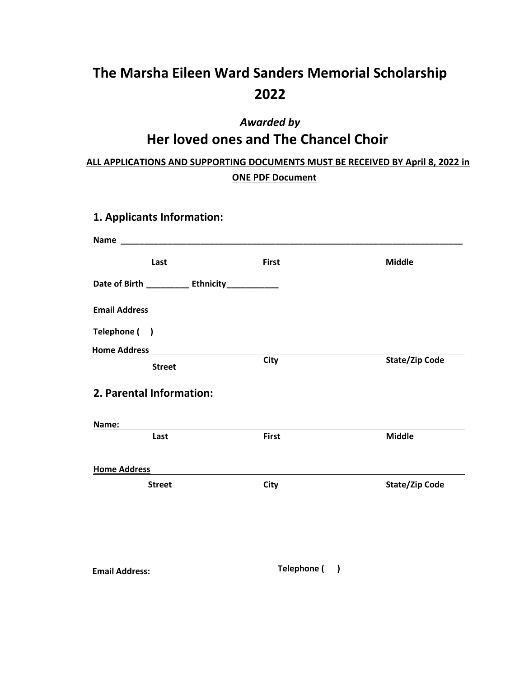# **The Marsha Eileen Ward Sanders Memorial Scholarship 2022**

# *Awarded by* **Her loved ones and The Chancel Choir**

### **ALL APPLICATIONS AND SUPPORTING DOCUMENTS MUST BE RECEIVED BY April 8, 2022 in ONE PDF Document**

| 1. Applicants Information:                      |              |                       |
|-------------------------------------------------|--------------|-----------------------|
|                                                 |              |                       |
| Last                                            | <b>First</b> | <b>Middle</b>         |
| Date of Birth ___________ Ethnicity____________ |              |                       |
| <b>Email Address</b>                            |              |                       |
| Telephone ()                                    |              |                       |
| <b>Home Address</b>                             |              |                       |
| <b>Street</b>                                   | <b>City</b>  | <b>State/Zip Code</b> |
| 2. Parental Information:                        |              |                       |
| Name:                                           |              |                       |
| Last                                            | <b>First</b> | <b>Middle</b>         |
| <b>Home Address</b>                             |              |                       |
| <b>Street</b>                                   | <b>City</b>  | <b>State/Zip Code</b> |
|                                                 |              |                       |
|                                                 |              |                       |
|                                                 |              |                       |

**Email Address: Telephone ( )**